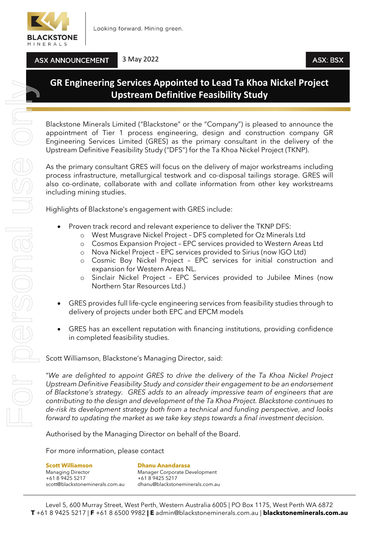

**ASX ANNOUNCEMENT** 

3 May 2022

## **GR Engineering Services Appointed to Lead Ta Khoa Nickel Project Upstream Definitive Feasibility Study**

Blackstone Minerals Limited ("Blackstone" or the "Company") is pleased to announce the appointment of Tier 1 process engineering, design and construction company GR Engineering Services Limited (GRES) as the primary consultant in the delivery of the Upstream Definitive Feasibility Study ("DFS") for the Ta Khoa Nickel Project (TKNP).

As the primary consultant GRES will focus on the delivery of major workstreams including process infrastructure, metallurgical testwork and co-disposal tailings storage. GRES will also co-ordinate, collaborate with and collate information from other key workstreams including mining studies.

Highlights of Blackstone's engagement with GRES include:

- Proven track record and relevant experience to deliver the TKNP DFS:
	- West Musgrave Nickel Project DFS completed for Oz Minerals Ltd
	- o Cosmos Expansion Project EPC services provided to Western Areas Ltd
	- o Nova Nickel Project EPC services provided to Sirius (now IGO Ltd)
	- o Cosmic Boy Nickel Project EPC services for initial construction and expansion for Western Areas NL.
	- o Sinclair Nickel Project EPC Services provided to Jubilee Mines (now Northern Star Resources Ltd.)
- GRES provides full life-cycle engineering services from feasibility studies through to delivery of projects under both EPC and EPCM models
- GRES has an excellent reputation with financing institutions, providing confidence in completed feasibility studies.

Scott Williamson, Blackstone's Managing Director, said:

"*We are delighted to appoint GRES to drive the delivery of the Ta Khoa Nickel Project Upstream Definitive Feasibility Study and consider their engagement to be an endorsement of Blackstone's strategy. GRES adds to an already impressive team of engineers that are contributing to the design and development of the Ta Khoa Project. Blackstone continues to de-risk its development strategy both from a technical and funding perspective, and looks forward to updating the market as we take key steps towards a final investment decision.*

Authorised by the Managing Director on behalf of the Board.

For more information, please contact

**Scott Williamson**<br>
Managing Director<br>
Manager Corporate De +61 8 9425 5217 +61 8 9425 5217

Manager Corporate Development scott@blackstoneminerals.com.au dhanu@blackstoneminerals.com.au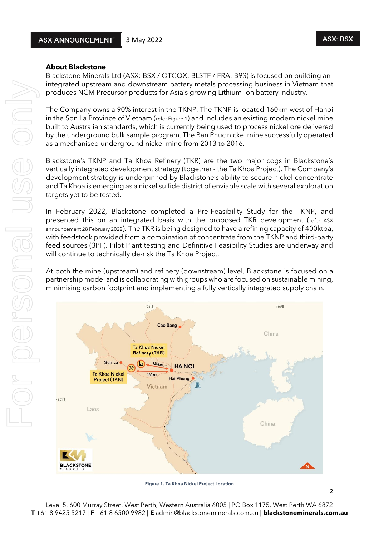2

## **About Blackstone**

Blackstone Minerals Ltd (ASX: BSX / OTCQX: BLSTF / FRA: B9S) is focused on building an integrated upstream and downstream battery metals processing business in Vietnam that produces NCM Precursor products for Asia's growing Lithium-ion battery industry.

The Company owns a 90% interest in the TKNP. The TKNP is located 160km west of Hanoi in the Son La Province of Vietnam (refer Figure 1) and includes an existing modern nickel mine built to Australian standards, which is currently being used to process nickel ore delivered by the underground bulk sample program. The Ban Phuc nickel mine successfully operated as a mechanised underground nickel mine from 2013 to 2016.

Blackstone's TKNP and Ta Khoa Refinery (TKR) are the two major cogs in Blackstone's vertically integrated development strategy (together - the Ta Khoa Project). The Company's development strategy is underpinned by Blackstone's ability to secure nickel concentrate and Ta Khoa is emerging as a nickel sulfide district of enviable scale with several exploration targets yet to be tested.

In February 2022, Blackstone completed a Pre-Feasibility Study for the TKNP, and presented this on an integrated basis with the proposed TKR development (refer ASX announcement 28 February 2022). The TKR is being designed to have a refining capacity of 400ktpa, with feedstock provided from a combination of concentrate from the TKNP and third-party feed sources (3PF). Pilot Plant testing and Definitive Feasibility Studies are underway and will continue to technically de-risk the Ta Khoa Project.

At both the mine (upstream) and refinery (downstream) level, Blackstone is focused on a partnership model and is collaborating with groups who are focused on sustainable mining, minimising carbon footprint and implementing a fully vertically integrated supply chain.



**Figure 1. Ta Khoa Nickel Project Location**